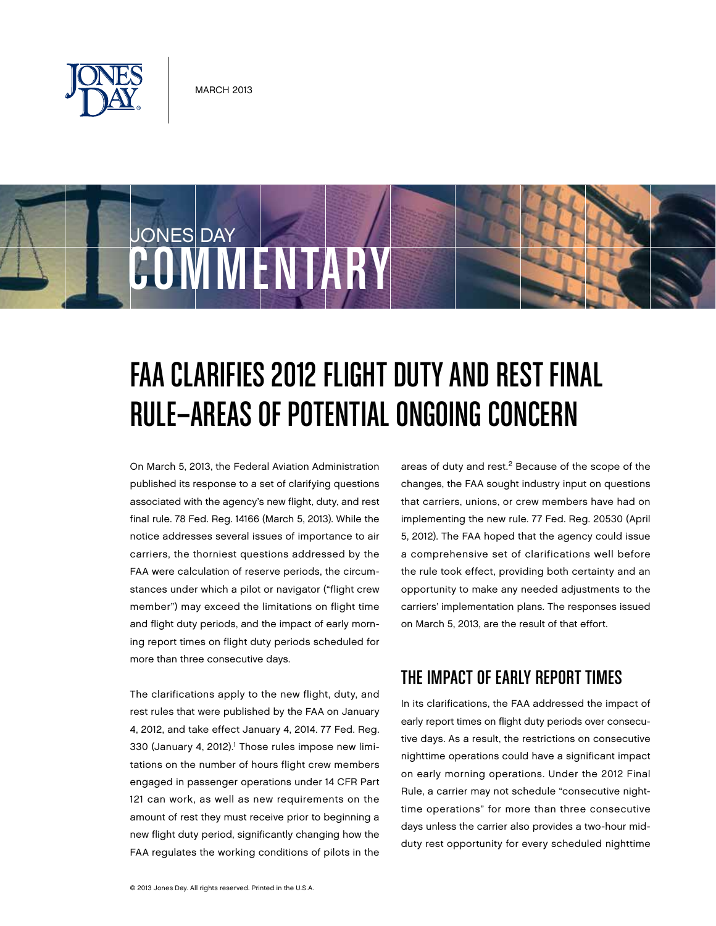

JONES DAY

# FAA CLARIFIES 2012 FLIGHT DUTY AND REST FINAL Rule—Areas of Potential Ongoing Concern

On March 5, 2013, the Federal Aviation Administration published its response to a set of clarifying questions associated with the agency's new flight, duty, and rest final rule. 78 Fed. Reg. 14166 (March 5, 2013). While the notice addresses several issues of importance to air carriers, the thorniest questions addressed by the FAA were calculation of reserve periods, the circumstances under which a pilot or navigator ("flight crew member") may exceed the limitations on flight time and flight duty periods, and the impact of early morning report times on flight duty periods scheduled for more than three consecutive days.

COMMENTARY

The clarifications apply to the new flight, duty, and rest rules that were published by the FAA on January 4, 2012, and take effect January 4, 2014. 77 Fed. Reg. 330 (January 4, 2012).<sup>1</sup> Those rules impose new limitations on the number of hours flight crew members engaged in passenger operations under 14 CFR Part 121 can work, as well as new requirements on the amount of rest they must receive prior to beginning a new flight duty period, significantly changing how the FAA regulates the working conditions of pilots in the areas of duty and rest.<sup>2</sup> Because of the scope of the changes, the FAA sought industry input on questions that carriers, unions, or crew members have had on implementing the new rule. 77 Fed. Reg. 20530 (April 5, 2012). The FAA hoped that the agency could issue a comprehensive set of clarifications well before the rule took effect, providing both certainty and an opportunity to make any needed adjustments to the carriers' implementation plans. The responses issued on March 5, 2013, are the result of that effort.

## The Impact of Early Report Times

In its clarifications, the FAA addressed the impact of early report times on flight duty periods over consecutive days. As a result, the restrictions on consecutive nighttime operations could have a significant impact on early morning operations. Under the 2012 Final Rule, a carrier may not schedule "consecutive nighttime operations" for more than three consecutive days unless the carrier also provides a two-hour midduty rest opportunity for every scheduled nighttime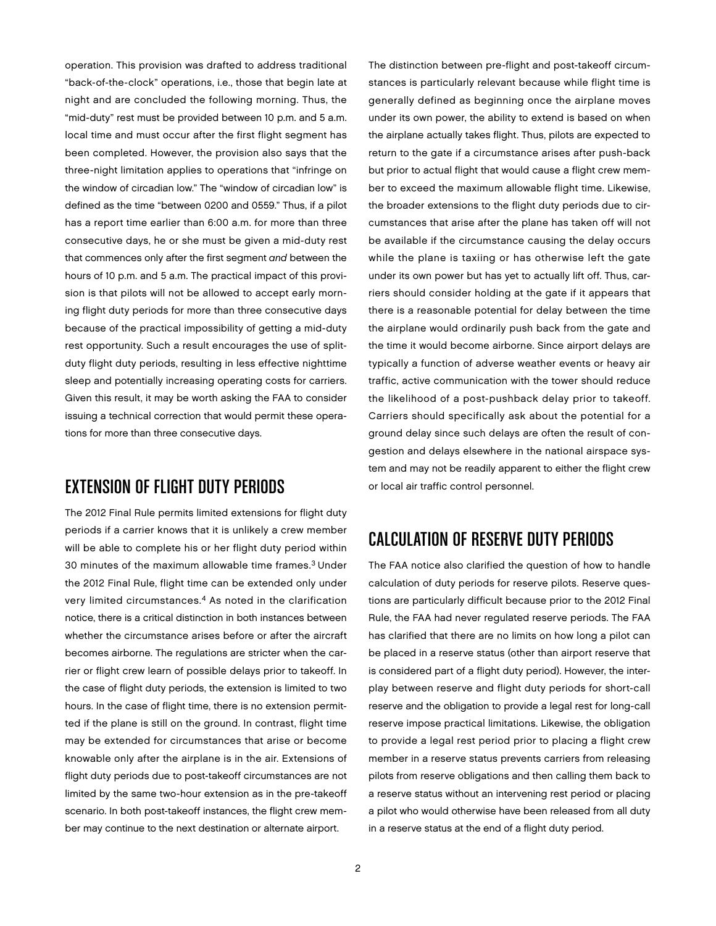operation. This provision was drafted to address traditional "back-of-the-clock" operations, i.e., those that begin late at night and are concluded the following morning. Thus, the "mid-duty" rest must be provided between 10 p.m. and 5 a.m. local time and must occur after the first flight segment has been completed. However, the provision also says that the three-night limitation applies to operations that "infringe on the window of circadian low." The "window of circadian low" is defined as the time "between 0200 and 0559." Thus, if a pilot has a report time earlier than 6:00 a.m. for more than three consecutive days, he or she must be given a mid-duty rest that commences only after the first segment and between the hours of 10 p.m. and 5 a.m. The practical impact of this provision is that pilots will not be allowed to accept early morning flight duty periods for more than three consecutive days because of the practical impossibility of getting a mid-duty rest opportunity. Such a result encourages the use of splitduty flight duty periods, resulting in less effective nighttime sleep and potentially increasing operating costs for carriers. Given this result, it may be worth asking the FAA to consider issuing a technical correction that would permit these operations for more than three consecutive days.

#### Extension of Flight Duty Periods

The 2012 Final Rule permits limited extensions for flight duty periods if a carrier knows that it is unlikely a crew member will be able to complete his or her flight duty period within 30 minutes of the maximum allowable time frames.<sup>3</sup> Under the 2012 Final Rule, flight time can be extended only under very limited circumstances.<sup>4</sup> As noted in the clarification notice, there is a critical distinction in both instances between whether the circumstance arises before or after the aircraft becomes airborne. The regulations are stricter when the carrier or flight crew learn of possible delays prior to takeoff. In the case of flight duty periods, the extension is limited to two hours. In the case of flight time, there is no extension permitted if the plane is still on the ground. In contrast, flight time may be extended for circumstances that arise or become knowable only after the airplane is in the air. Extensions of flight duty periods due to post-takeoff circumstances are not limited by the same two-hour extension as in the pre-takeoff scenario. In both post-takeoff instances, the flight crew member may continue to the next destination or alternate airport.

The distinction between pre-flight and post-takeoff circumstances is particularly relevant because while flight time is generally defined as beginning once the airplane moves under its own power, the ability to extend is based on when the airplane actually takes flight. Thus, pilots are expected to return to the gate if a circumstance arises after push-back but prior to actual flight that would cause a flight crew member to exceed the maximum allowable flight time. Likewise, the broader extensions to the flight duty periods due to circumstances that arise after the plane has taken off will not be available if the circumstance causing the delay occurs while the plane is taxiing or has otherwise left the gate under its own power but has yet to actually lift off. Thus, carriers should consider holding at the gate if it appears that there is a reasonable potential for delay between the time the airplane would ordinarily push back from the gate and the time it would become airborne. Since airport delays are typically a function of adverse weather events or heavy air traffic, active communication with the tower should reduce the likelihood of a post-pushback delay prior to takeoff. Carriers should specifically ask about the potential for a ground delay since such delays are often the result of congestion and delays elsewhere in the national airspace system and may not be readily apparent to either the flight crew or local air traffic control personnel.

### Calculation of Reserve Duty Periods

The FAA notice also clarified the question of how to handle calculation of duty periods for reserve pilots. Reserve questions are particularly difficult because prior to the 2012 Final Rule, the FAA had never regulated reserve periods. The FAA has clarified that there are no limits on how long a pilot can be placed in a reserve status (other than airport reserve that is considered part of a flight duty period). However, the interplay between reserve and flight duty periods for short-call reserve and the obligation to provide a legal rest for long-call reserve impose practical limitations. Likewise, the obligation to provide a legal rest period prior to placing a flight crew member in a reserve status prevents carriers from releasing pilots from reserve obligations and then calling them back to a reserve status without an intervening rest period or placing a pilot who would otherwise have been released from all duty in a reserve status at the end of a flight duty period.